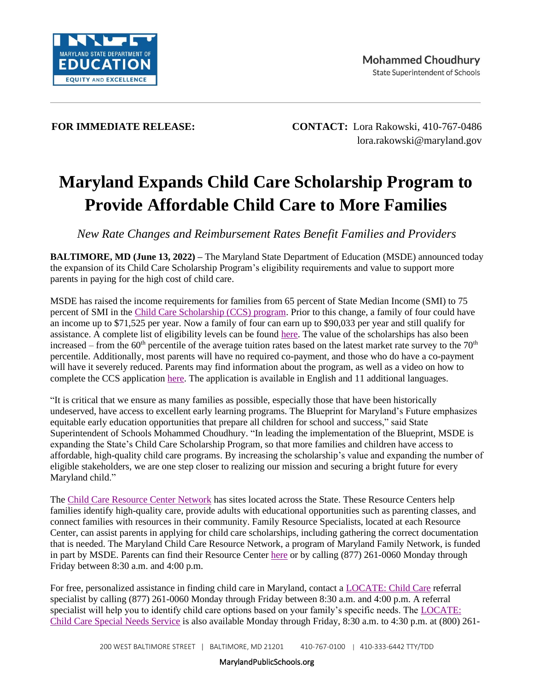

**FOR IMMEDIATE RELEASE: CONTACT:** Lora Rakowski, 410-767-0486 [lora.rakowski@maryland.gov](mailto:lora.rakowski@maryland.gov)

## **Maryland Expands Child Care Scholarship Program to Provide Affordable Child Care to More Families**

*New Rate Changes and Reimbursement Rates Benefit Families and Providers*

**BALTIMORE, MD (June 13, 2022) –** The Maryland State Department of Education (MSDE) announced today the expansion of its Child Care Scholarship Program's eligibility requirements and value to support more parents in paying for the high cost of child care.

MSDE has raised the income requirements for families from 65 percent of State Median Income (SMI) to 75 percent of SMI in the [Child Care Scholarship \(CCS\) program.](https://earlychildhood.marylandpublicschools.org/child-care-providers/child-care-scholarship-program) Prior to this change, a family of four could have an income up to \$71,525 per year. Now a family of four can earn up to \$90,033 per year and still qualify for assistance. A complete list of eligibility levels can be found [here.](https://earlychildhood.marylandpublicschools.org/child-care-providers/child-care-scholarship-program) The value of the scholarships has also been increased – from the  $60<sup>th</sup>$  percentile of the average tuition rates based on the latest market rate survey to the  $70<sup>th</sup>$ percentile. Additionally, most parents will have no required co-payment, and those who do have a co-payment will have it severely reduced. Parents may find information about the program, as well as a video on how to complete the CCS application [here.](https://earlychildhood.marylandpublicschools.org/families/child-care-scholarship-program/scholarship-forms) The application is available in English and 11 additional languages.

"It is critical that we ensure as many families as possible, especially those that have been historically undeserved, have access to excellent early learning programs. The Blueprint for Maryland's Future emphasizes equitable early education opportunities that prepare all children for school and success," said State Superintendent of Schools Mohammed Choudhury. "In leading the implementation of the Blueprint, MSDE is expanding the State's Child Care Scholarship Program, so that more families and children have access to affordable, high-quality child care programs. By increasing the scholarship's value and expanding the number of eligible stakeholders, we are one step closer to realizing our mission and securing a bright future for every Maryland child."

The [Child Care Resource Center Network](https://www.marylandfamilynetwork.org/for-providers/find-your-child-care-resource-center) has sites located across the State. These Resource Centers help families identify high-quality care, provide adults with educational opportunities such as parenting classes, and connect families with resources in their community. Family Resource Specialists, located at each Resource Center, can assist parents in applying for child care scholarships, including gathering the correct documentation that is needed. The Maryland Child Care Resource Network, a program of Maryland Family Network, is funded in part by MSDE. Parents can find their Resource Center [here](https://www.marylandfamilynetwork.org/for-providers/find-your-child-care-resource-center) or by calling (877) 261-0060 Monday through Friday between 8:30 a.m. and 4:00 p.m.

For free, personalized assistance in finding child care in Maryland, contact a [LOCATE: Child Care](https://www.marylandfamilynetwork.org/for-parents/locate-child-care) referral specialist by calling (877) 261-0060 Monday through Friday between 8:30 a.m. and 4:00 p.m. A referral specialist will help you to identify child care options based on your family's specific needs. The [LOCATE:](https://www.marylandfamilynetwork.org/for-parents/locate-child-care-special-needs)  [Child Care Special Needs Service](https://www.marylandfamilynetwork.org/for-parents/locate-child-care-special-needs) is also available Monday through Friday, 8:30 a.m. to 4:30 p.m. at (800) 261